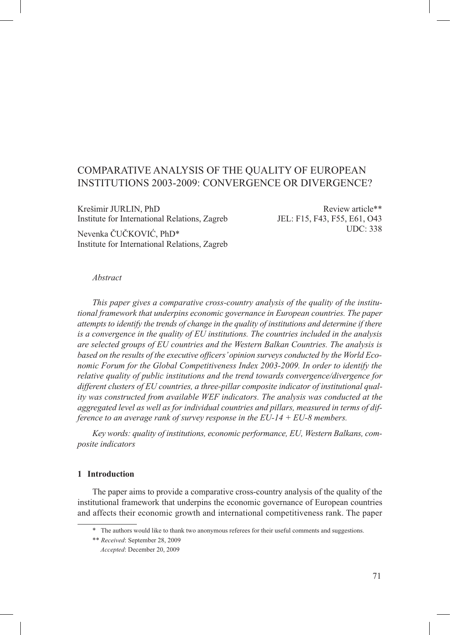# Comparative Analysis of the Quality of European Institutions 2003-2009: Convergence or Divergence?

Krešimir JURLIN, PhD Institute for International Relations, Zagreb

Nevenka Čučković, PhD\* Institute for International Relations, Zagreb

Review article\*\* JEL: F15, F43, F55, E61, O43 UDC: 338

#### *Abstract*

*This paper gives a comparative cross-country analysis of the quality of the institutional framework that underpins economic governance in European countries. The paper attempts to identify the trends of change in the quality of institutions and determine if there is a convergence in the quality of EU institutions. The countries included in the analysis are selected groups of EU countries and the Western Balkan Countries. The analysis is based on the results of the executive officers' opinion surveys conducted by the World Economic Forum for the Global Competitiveness Index 2003-2009. In order to identify the relative quality of public institutions and the trend towards convergence/divergence for different clusters of EU countries, a three-pillar composite indicator of institutional quality was constructed from available WEF indicators. The analysis was conducted at the aggregated level as well as for individual countries and pillars, measured in terms of difference to an average rank of survey response in the EU-14 + EU-8 members.* 

Key words: quality of institutions, economic performance, EU, Western Balkans, com*posite indicators*

#### **1 Introduction**

The paper aims to provide a comparative cross-country analysis of the quality of the institutional framework that underpins the economic governance of European countries and affects their economic growth and international competitiveness rank. The paper

<sup>\*\*</sup> The authors would like to thank two anonymous referees for their useful comments and suggestions.

<sup>\*\*</sup> *Received*: September 28, 2009

Accepted: December 20, 2009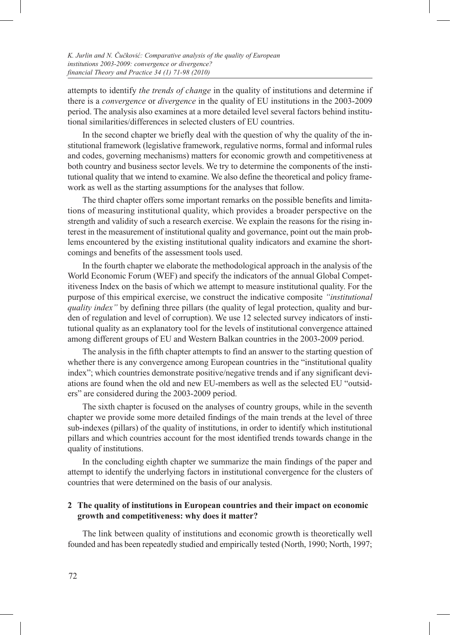attempts to identify *the trends of change* in the quality of institutions and determine if there is a *convergence* or *divergence* in the quality of EU institutions in the 2003-2009 period. The analysis also examines at a more detailed level several factors behind institutional similarities/differences in selected clusters of EU countries.

In the second chapter we briefly deal with the question of why the quality of the institutional framework (legislative framework, regulative norms, formal and informal rules and codes, governing mechanisms) matters for economic growth and competitiveness at both country and business sector levels. We try to determine the components of the institutional quality that we intend to examine. We also define the theoretical and policy framework as well as the starting assumptions for the analyses that follow.

The third chapter offers some important remarks on the possible benefits and limitations of measuring institutional quality, which provides a broader perspective on the strength and validity of such a research exercise. We explain the reasons for the rising interest in the measurement of institutional quality and governance, point out the main problems encountered by the existing institutional quality indicators and examine the shortcomings and benefits of the assessment tools used.

In the fourth chapter we elaborate the methodological approach in the analysis of the World Economic Forum (WEF) and specify the indicators of the annual Global Competitiveness Index on the basis of which we attempt to measure institutional quality. For the purpose of this empirical exercise, we construct the indicative composite *"institutional quality index"* by defining three pillars (the quality of legal protection, quality and burden of regulation and level of corruption). We use 12 selected survey indicators of institutional quality as an explanatory tool for the levels of institutional convergence attained among different groups of EU and Western Balkan countries in the 2003-2009 period.

The analysis in the fifth chapter attempts to find an answer to the starting question of whether there is any convergence among European countries in the "institutional quality index"; which countries demonstrate positive/negative trends and if any significant deviations are found when the old and new EU-members as well as the selected EU "outsiders" are considered during the 2003-2009 period.

The sixth chapter is focused on the analyses of country groups, while in the seventh chapter we provide some more detailed findings of the main trends at the level of three sub-indexes (pillars) of the quality of institutions, in order to identify which institutional pillars and which countries account for the most identified trends towards change in the quality of institutions.

In the concluding eighth chapter we summarize the main findings of the paper and attempt to identify the underlying factors in institutional convergence for the clusters of countries that were determined on the basis of our analysis.

# **2 The quality of institutions in European countries and their impact on economic growth and competitiveness: why does it matter?**

The link between quality of institutions and economic growth is theoretically well founded and has been repeatedly studied and empirically tested (North, 1990; North, 1997;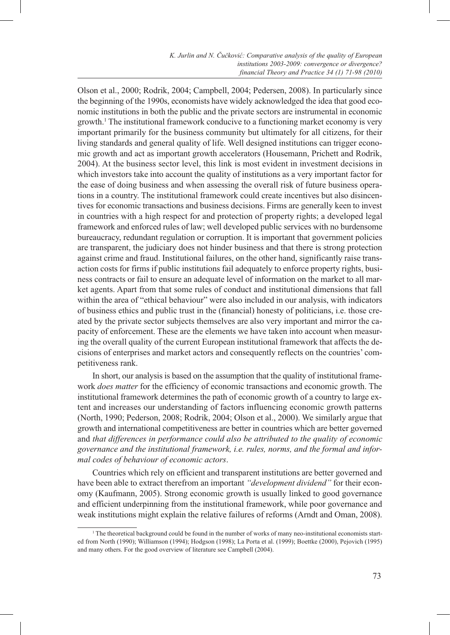Olson et al., 2000; Rodrik, 2004; Campbell, 2004; Pedersen, 2008). In particularly since the beginning of the 1990s, economists have widely acknowledged the idea that good economic institutions in both the public and the private sectors are instrumental in economic growth.<sup>1</sup> The institutional framework conducive to a functioning market economy is very important primarily for the business community but ultimately for all citizens, for their living standards and general quality of life. Well designed institutions can trigger economic growth and act as important growth accelerators (Housemann, Prichett and Rodrik, 2004). At the business sector level, this link is most evident in investment decisions in which investors take into account the quality of institutions as a very important factor for the ease of doing business and when assessing the overall risk of future business operations in a country. The institutional framework could create incentives but also disincentives for economic transactions and business decisions. Firms are generally keen to invest in countries with a high respect for and protection of property rights; a developed legal framework and enforced rules of law; well developed public services with no burdensome bureaucracy, redundant regulation or corruption. It is important that government policies are transparent, the judiciary does not hinder business and that there is strong protection against crime and fraud. Institutional failures, on the other hand, significantly raise transaction costs for firms if public institutions fail adequately to enforce property rights, business contracts or fail to ensure an adequate level of information on the market to all market agents. Apart from that some rules of conduct and institutional dimensions that fall within the area of "ethical behaviour" were also included in our analysis, with indicators of business ethics and public trust in the (financial) honesty of politicians, i.e. those created by the private sector subjects themselves are also very important and mirror the capacity of enforcement. These are the elements we have taken into account when measuring the overall quality of the current European institutional framework that affects the decisions of enterprises and market actors and consequently reflects on the countries' competitiveness rank.

In short, our analysis is based on the assumption that the quality of institutional framework *does matter* for the efficiency of economic transactions and economic growth. The institutional framework determines the path of economic growth of a country to large extent and increases our understanding of factors influencing economic growth patterns (North, 1990; Pederson, 2008; Rodrik, 2004; Olson et al., 2000). We similarly argue that growth and international competitiveness are better in countries which are better governed and *that differences in performance could also be attributed to the quality of economic governance and the institutional framework, i.e. rules, norms, and the formal and informal codes of behaviour of economic actors*.

Countries which rely on efficient and transparent institutions are better governed and have been able to extract therefrom an important *"development dividend"* for their economy (Kaufmann, 2005). Strong economic growth is usually linked to good governance and efficient underpinning from the institutional framework, while poor governance and weak institutions might explain the relative failures of reforms (Arndt and Oman, 2008).

<sup>1</sup> The theoretical background could be found in the number of works of many neo-institutional economists started from North (1990); Williamson (1994); Hodgson (1998); La Porta et al. (1999); Boettke (2000), Pejovich (1995) and many others. For the good overview of literature see Campbell (2004).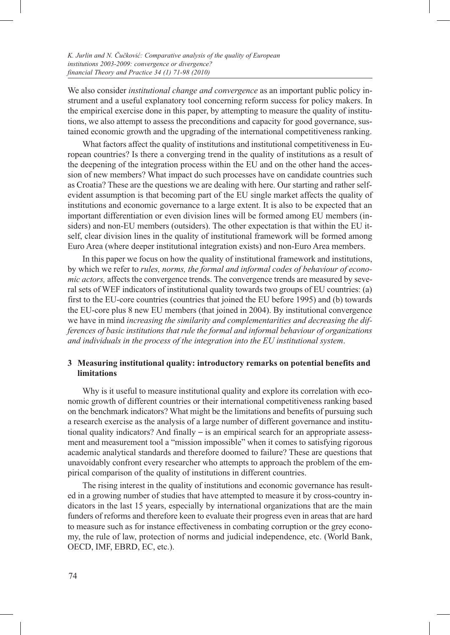We also consider *institutional change and convergence* as an important public policy instrument and a useful explanatory tool concerning reform success for policy makers. In the empirical exercise done in this paper, by attempting to measure the quality of institutions, we also attempt to assess the preconditions and capacity for good governance, sustained economic growth and the upgrading of the international competitiveness ranking.

What factors affect the quality of institutions and institutional competitiveness in European countries? Is there a converging trend in the quality of institutions as a result of the deepening of the integration process within the EU and on the other hand the accession of new members? What impact do such processes have on candidate countries such as Croatia? These are the questions we are dealing with here. Our starting and rather selfevident assumption is that becoming part of the EU single market affects the quality of institutions and economic governance to a large extent. It is also to be expected that an important differentiation or even division lines will be formed among EU members (insiders) and non-EU members (outsiders). The other expectation is that within the EU itself, clear division lines in the quality of institutional framework will be formed among Euro Area (where deeper institutional integration exists) and non-Euro Area members.

In this paper we focus on how the quality of institutional framework and institutions, by which we refer to *rules, norms, the formal and informal codes of behaviour of economic actors,* affects the convergence trends. The convergence trends are measured by several sets of WEF indicators of institutional quality towards two groups of EU countries: (a) first to the EU-core countries (countries that joined the EU before 1995) and (b) towards the EU-core plus 8 new EU members (that joined in 2004). By institutional convergence we have in mind *increasing the similarity and complementarities and decreasing the differences of basic institutions that rule the formal and informal behaviour of organizations and individuals in the process of the integration into the EU institutional system*.

# **3 Measuring institutional quality: introductory remarks on potential benefits and limitations**

Why is it useful to measure institutional quality and explore its correlation with economic growth of different countries or their international competitiveness ranking based on the benchmark indicators? What might be the limitations and benefits of pursuing such a research exercise as the analysis of a large number of different governance and institutional quality indicators? And finally **–** is an empirical search for an appropriate assessment and measurement tool a "mission impossible" when it comes to satisfying rigorous academic analytical standards and therefore doomed to failure? These are questions that unavoidably confront every researcher who attempts to approach the problem of the empirical comparison of the quality of institutions in different countries.

The rising interest in the quality of institutions and economic governance has resulted in a growing number of studies that have attempted to measure it by cross-country indicators in the last 15 years, especially by international organizations that are the main funders of reforms and therefore keen to evaluate their progress even in areas that are hard to measure such as for instance effectiveness in combating corruption or the grey economy, the rule of law, protection of norms and judicial independence, etc. (World Bank, OECD, IMF, EBRD, EC, etc.).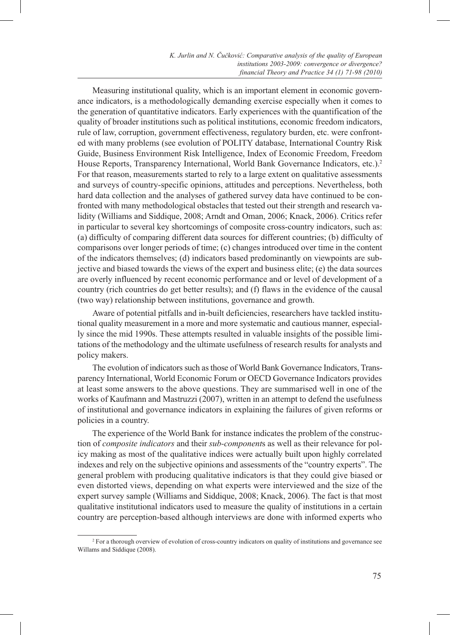Measuring institutional quality, which is an important element in economic governance indicators, is a methodologically demanding exercise especially when it comes to the generation of quantitative indicators. Early experiences with the quantification of the quality of broader institutions such as political institutions, economic freedom indicators, rule of law, corruption, government effectiveness, regulatory burden, etc. were confronted with many problems (see evolution of POLITY database, International Country Risk Guide, Business Environment Risk Intelligence, Index of Economic Freedom, Freedom House Reports, Transparency International, World Bank Governance Indicators, etc.).<sup>2</sup> For that reason, measurements started to rely to a large extent on qualitative assessments and surveys of country-specific opinions, attitudes and perceptions. Nevertheless, both hard data collection and the analyses of gathered survey data have continued to be confronted with many methodological obstacles that tested out their strength and research validity (Williams and Siddique, 2008; Arndt and Oman, 2006; Knack, 2006). Critics refer in particular to several key shortcomings of composite cross-country indicators, such as: (a) difficulty of comparing different data sources for different countries; (b) difficulty of comparisons over longer periods of time; (c) changes introduced over time in the content of the indicators themselves; (d) indicators based predominantly on viewpoints are subjective and biased towards the views of the expert and business elite; (e) the data sources are overly influenced by recent economic performance and or level of development of a country (rich countries do get better results); and (f) flaws in the evidence of the causal (two way) relationship between institutions, governance and growth.

Aware of potential pitfalls and in-built deficiencies, researchers have tackled institutional quality measurement in a more and more systematic and cautious manner, especially since the mid 1990s. These attempts resulted in valuable insights of the possible limitations of the methodology and the ultimate usefulness of research results for analysts and policy makers.

The evolution of indicators such as those of World Bank Governance Indicators, Transparency International, World Economic Forum or OECD Governance Indicators provides at least some answers to the above questions. They are summarised well in one of the works of Kaufmann and Mastruzzi (2007), written in an attempt to defend the usefulness of institutional and governance indicators in explaining the failures of given reforms or policies in a country.

The experience of the World Bank for instance indicates the problem of the construction of *composite indicators* and their *sub-component*s as well as their relevance for policy making as most of the qualitative indices were actually built upon highly correlated indexes and rely on the subjective opinions and assessments of the "country experts". The general problem with producing qualitative indicators is that they could give biased or even distorted views, depending on what experts were interviewed and the size of the expert survey sample (Williams and Siddique, 2008; Knack, 2006). The fact is that most qualitative institutional indicators used to measure the quality of institutions in a certain country are perception-based although interviews are done with informed experts who

<sup>2</sup> For a thorough overview of evolution of cross-country indicators on quality of institutions and governance see Willams and Siddique (2008).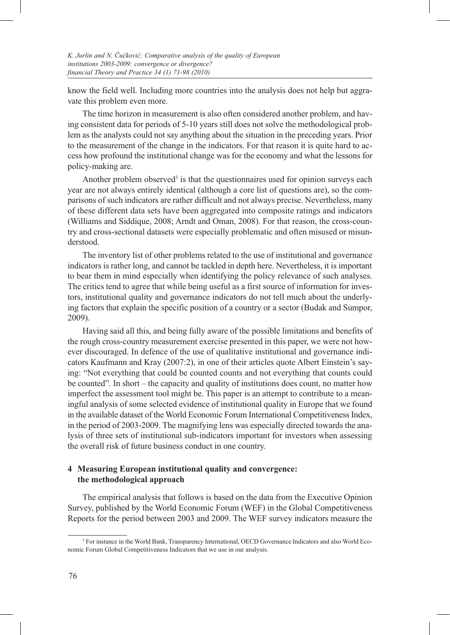know the field well. Including more countries into the analysis does not help but aggravate this problem even more.

The time horizon in measurement is also often considered another problem, and having consistent data for periods of 5-10 years still does not solve the methodological problem as the analysts could not say anything about the situation in the preceding years. Prior to the measurement of the change in the indicators. For that reason it is quite hard to access how profound the institutional change was for the economy and what the lessons for policy-making are.

Another problem observed<sup>3</sup> is that the questionnaires used for opinion surveys each year are not always entirely identical (although a core list of questions are), so the comparisons of such indicators are rather difficult and not always precise. Nevertheless, many of these different data sets have been aggregated into composite ratings and indicators (Williams and Siddique, 2008; Arndt and Oman, 2008). For that reason, the cross-country and cross-sectional datasets were especially problematic and often misused or misunderstood.

The inventory list of other problems related to the use of institutional and governance indicators is rather long, and cannot be tackled in depth here. Nevertheless, it is important to bear them in mind especially when identifying the policy relevance of such analyses. The critics tend to agree that while being useful as a first source of information for investors, institutional quality and governance indicators do not tell much about the underlying factors that explain the specific position of a country or a sector (Budak and Sumpor, 2009).

Having said all this, and being fully aware of the possible limitations and benefits of the rough cross-country measurement exercise presented in this paper, we were not however discouraged. In defence of the use of qualitative institutional and governance indicators Kaufmann and Kray (2007:2), in one of their articles quote Albert Einstein's saying: "Not everything that could be counted counts and not everything that counts could be counted"*.* In short – the capacity and quality of institutions does count, no matter how imperfect the assessment tool might be. This paper is an attempt to contribute to a meaningful analysis of some selected evidence of institutional quality in Europe that we found in the available dataset of the World Economic Forum International Competitiveness Index, in the period of 2003-2009. The magnifying lens was especially directed towards the analysis of three sets of institutional sub-indicators important for investors when assessing the overall risk of future business conduct in one country.

# **4 Measuring European institutional quality and convergence: the methodological approach**

The empirical analysis that follows is based on the data from the Executive Opinion Survey, published by the World Economic Forum (WEF) in the Global Competitiveness Reports for the period between 2003 and 2009. The WEF survey indicators measure the

<sup>&</sup>lt;sup>3</sup> For instance in the World Bank, Transparency International, OECD Governance Indicators and also World Economic Forum Global Competitiveness Indicators that we use in our analysis.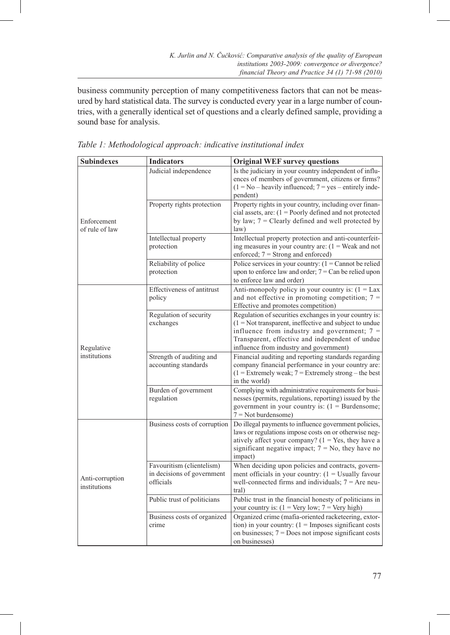business community perception of many competitiveness factors that can not be measured by hard statistical data. The survey is conducted every year in a large number of countries, with a generally identical set of questions and a clearly defined sample, providing a sound base for analysis.

| <b>Subindexes</b>               | <b>Indicators</b>                                                    | <b>Original WEF survey questions</b>                                                                                                                                                                                                                               |  |  |
|---------------------------------|----------------------------------------------------------------------|--------------------------------------------------------------------------------------------------------------------------------------------------------------------------------------------------------------------------------------------------------------------|--|--|
|                                 | Judicial independence                                                | Is the judiciary in your country independent of influ-<br>ences of members of government, citizens or firms?<br>$(1 = No - heavily influenced; 7 = yes - entirely inde-$<br>pendent)                                                                               |  |  |
| Enforcement<br>of rule of law   | Property rights protection                                           | Property rights in your country, including over finan-<br>cial assets, are: $(1 = \text{Poorly defined}$ and not protected<br>by law; $7 =$ Clearly defined and well protected by<br>law)                                                                          |  |  |
|                                 | Intellectual property<br>protection                                  | Intellectual property protection and anti-counterfeit-<br>ing measures in your country are: $(1)$ = Weak and not<br>enforced; 7 = Strong and enforced)                                                                                                             |  |  |
|                                 | Reliability of police<br>protection                                  | Police services in your country: $(1 =$ Cannot be relied<br>upon to enforce law and order; $7 =$ Can be relied upon<br>to enforce law and order)                                                                                                                   |  |  |
|                                 | Effectiveness of antitrust<br>policy                                 | Anti-monopoly policy in your country is: $(1 = Lax)$<br>and not effective in promoting competition; $7 =$<br>Effective and promotes competition)                                                                                                                   |  |  |
| Regulative                      | Regulation of security<br>exchanges                                  | Regulation of securities exchanges in your country is:<br>$(1 = Not transparent, ineffective and subject to undue)$<br>influence from industry and government; $7 =$<br>Transparent, effective and independent of undue<br>influence from industry and government) |  |  |
| institutions                    | Strength of auditing and<br>accounting standards                     | Financial auditing and reporting standards regarding<br>company financial performance in your country are:<br>$(1 =$ Extremely weak; $7 =$ Extremely strong – the best<br>in the world)                                                                            |  |  |
|                                 | Burden of government<br>regulation                                   | Complying with administrative requirements for busi-<br>nesses (permits, regulations, reporting) issued by the<br>government in your country is: $(1 = Burden some;$<br>$7 = Not burdensome$ )                                                                     |  |  |
|                                 | Business costs of corruption                                         | Do illegal payments to influence government policies,<br>laws or regulations impose costs on or otherwise neg-<br>atively affect your company? $(1 = Yes, they have a)$<br>significant negative impact; $7 = No$ , they have no<br>impact)                         |  |  |
| Anti-corruption<br>institutions | Favouritism (clientelism)<br>in decisions of government<br>officials | When deciding upon policies and contracts, govern-<br>ment officials in your country: $(1 =$ Usually favour<br>well-connected firms and individuals; $7 =$ Are neu-<br>tral)                                                                                       |  |  |
|                                 | Public trust of politicians                                          | Public trust in the financial honesty of politicians in<br>your country is: $(1 = \text{Very low}; 7 = \text{Very high})$                                                                                                                                          |  |  |
|                                 | Business costs of organized<br>crime                                 | Organized crime (mafia-oriented racketeering, extor-<br>tion) in your country: $(1 = \text{Imposes significant costs})$<br>on businesses; $7 = Does not impose significant costs$<br>on businesses)                                                                |  |  |

*Table 1: Methodological approach: indicative institutional index*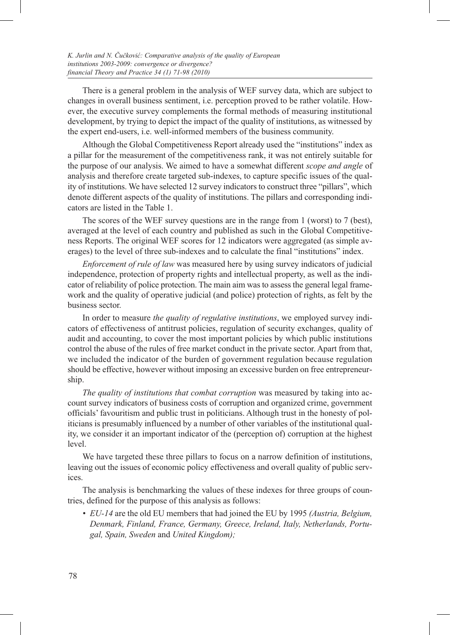There is a general problem in the analysis of WEF survey data, which are subject to changes in overall business sentiment, i.e. perception proved to be rather volatile. However, the executive survey complements the formal methods of measuring institutional development, by trying to depict the impact of the quality of institutions, as witnessed by the expert end-users, i.e. well-informed members of the business community.

Although the Global Competitiveness Report already used the "institutions" index as a pillar for the measurement of the competitiveness rank, it was not entirely suitable for the purpose of our analysis. We aimed to have a somewhat different *scope and angle* of analysis and therefore create targeted sub-indexes, to capture specific issues of the quality of institutions. We have selected 12 survey indicators to construct three "pillars", which denote different aspects of the quality of institutions. The pillars and corresponding indicators are listed in the Table 1.

The scores of the WEF survey questions are in the range from 1 (worst) to 7 (best), averaged at the level of each country and published as such in the Global Competitiveness Reports. The original WEF scores for 12 indicators were aggregated (as simple averages) to the level of three sub-indexes and to calculate the final "institutions" index.

*Enforcement of rule of law* was measured here by using survey indicators of judicial independence, protection of property rights and intellectual property, as well as the indicator of reliability of police protection. The main aim was to assess the general legal framework and the quality of operative judicial (and police) protection of rights, as felt by the business sector.

In order to measure *the quality of regulative institutions*, we employed survey indicators of effectiveness of antitrust policies, regulation of security exchanges, quality of audit and accounting, to cover the most important policies by which public institutions control the abuse of the rules of free market conduct in the private sector. Apart from that, we included the indicator of the burden of government regulation because regulation should be effective, however without imposing an excessive burden on free entrepreneurship.

*The quality of institutions that combat corruption* was measured by taking into account survey indicators of business costs of corruption and organized crime, government officials' favouritism and public trust in politicians. Although trust in the honesty of politicians is presumably influenced by a number of other variables of the institutional quality, we consider it an important indicator of the (perception of) corruption at the highest level.

We have targeted these three pillars to focus on a narrow definition of institutions, leaving out the issues of economic policy effectiveness and overall quality of public services.

The analysis is benchmarking the values of these indexes for three groups of countries, defined for the purpose of this analysis as follows:

*• EU-14* are the old EU members that had joined the EU by 1995 *(Austria, Belgium, Denmark, Finland, France, Germany, Greece, Ireland, Italy, Netherlands, Portugal, Spain, Sweden* and *United Kingdom);*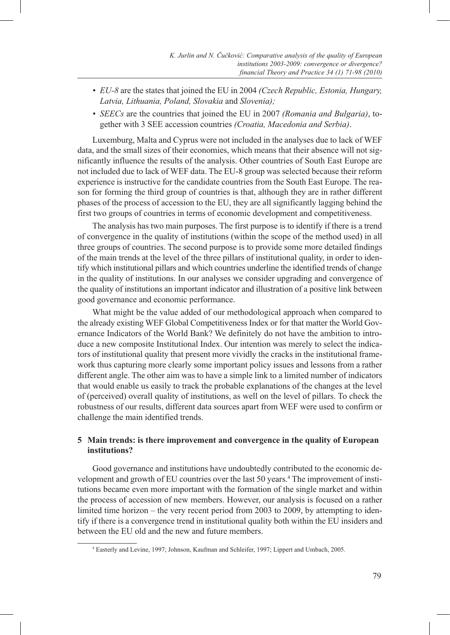- *• EU-8* are the states that joined the EU in 2004 *(Czech Republic, Estonia, Hungary, Latvia, Lithuania, Poland, Slovakia* and *Slovenia);*
- *• SEECs* are the countries that joined the EU in 2007 *(Romania and Bulgaria)*, together with 3 SEE accession countries *(Croatia, Macedonia and Serbia)*.

Luxemburg, Malta and Cyprus were not included in the analyses due to lack of WEF data, and the small sizes of their economies, which means that their absence will not significantly influence the results of the analysis. Other countries of South East Europe are not included due to lack of WEF data. The EU-8 group was selected because their reform experience is instructive for the candidate countries from the South East Europe. The reason for forming the third group of countries is that, although they are in rather different phases of the process of accession to the EU, they are all significantly lagging behind the first two groups of countries in terms of economic development and competitiveness.

The analysis has two main purposes. The first purpose is to identify if there is a trend of convergence in the quality of institutions (within the scope of the method used) in all three groups of countries. The second purpose is to provide some more detailed findings of the main trends at the level of the three pillars of institutional quality, in order to identify which institutional pillars and which countries underline the identified trends of change in the quality of institutions. In our analyses we consider upgrading and convergence of the quality of institutions an important indicator and illustration of a positive link between good governance and economic performance.

What might be the value added of our methodological approach when compared to the already existing WEF Global Competitiveness Index or for that matter the World Governance Indicators of the World Bank? We definitely do not have the ambition to introduce a new composite Institutional Index. Our intention was merely to select the indicators of institutional quality that present more vividly the cracks in the institutional framework thus capturing more clearly some important policy issues and lessons from a rather different angle. The other aim was to have a simple link to a limited number of indicators that would enable us easily to track the probable explanations of the changes at the level of (perceived) overall quality of institutions, as well on the level of pillars. To check the robustness of our results, different data sources apart from WEF were used to confirm or challenge the main identified trends.

# **5 Main trends: is there improvement and convergence in the quality of European institutions?**

Good governance and institutions have undoubtedly contributed to the economic development and growth of EU countries over the last 50 years.<sup>4</sup> The improvement of institutions became even more important with the formation of the single market and within the process of accession of new members. However, our analysis is focused on a rather limited time horizon – the very recent period from 2003 to 2009, by attempting to identify if there is a convergence trend in institutional quality both within the EU insiders and between the EU old and the new and future members.

<sup>4</sup> Easterly and Levine, 1997; Johnson, Kaufman and Schleifer, 1997; Lippert and Umbach, 2005.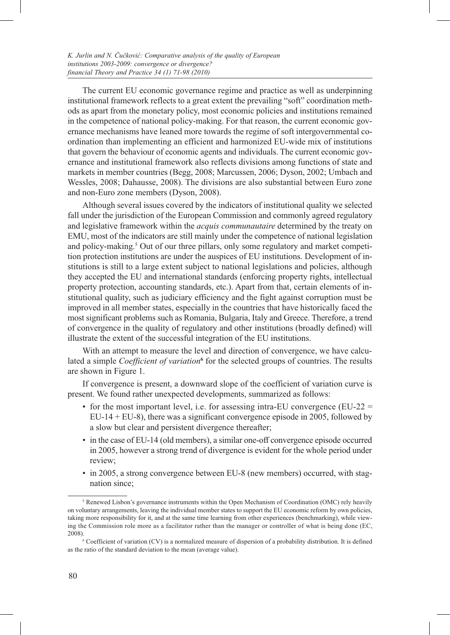The current EU economic governance regime and practice as well as underpinning institutional framework reflects to a great extent the prevailing "soft" coordination methods as apart from the monetary policy, most economic policies and institutions remained in the competence of national policy-making. For that reason, the current economic governance mechanisms have leaned more towards the regime of soft intergovernmental coordination than implementing an efficient and harmonized EU-wide mix of institutions that govern the behaviour of economic agents and individuals. The current economic governance and institutional framework also reflects divisions among functions of state and markets in member countries (Begg, 2008; Marcussen, 2006; Dyson, 2002; Umbach and Wessles, 2008; Dahausse, 2008). The divisions are also substantial between Euro zone and non-Euro zone members (Dyson, 2008).

Although several issues covered by the indicators of institutional quality we selected fall under the jurisdiction of the European Commission and commonly agreed regulatory and legislative framework within the *acquis communautaire* determined by the treaty on EMU, most of the indicators are still mainly under the competence of national legislation and policy-making.<sup>5</sup> Out of our three pillars, only some regulatory and market competition protection institutions are under the auspices of EU institutions. Development of institutions is still to a large extent subject to national legislations and policies, although they accepted the EU and international standards (enforcing property rights, intellectual property protection, accounting standards, etc.). Apart from that, certain elements of institutional quality, such as judiciary efficiency and the fight against corruption must be improved in all member states, especially in the countries that have historically faced the most significant problems such as Romania, Bulgaria, Italy and Greece. Therefore, a trend of convergence in the quality of regulatory and other institutions (broadly defined) will illustrate the extent of the successful integration of the EU institutions.

With an attempt to measure the level and direction of convergence, we have calculated a simple *Coefficient of variation***<sup>6</sup>** for the selected groups of countries. The results are shown in Figure 1.

If convergence is present, a downward slope of the coefficient of variation curve is present. We found rather unexpected developments, summarized as follows:

- for the most important level, i.e. for assessing intra-EU convergence (EU-22  $=$ EU-14 + EU-8), there was a significant convergence episode in 2005, followed by a slow but clear and persistent divergence thereafter;
- in the case of EU-14 (old members), a similar one-off convergence episode occurred in 2005, however a strong trend of divergence is evident for the whole period under review;
- in 2005, a strong convergence between EU-8 (new members) occurred, with stagnation since;

<sup>&</sup>lt;sup>5</sup> Renewed Lisbon's governance instruments within the Open Mechanism of Coordination (OMC) rely heavily on voluntary arrangements, leaving the individual member states to support the EU economic reform by own policies, taking more responsibility for it, and at the same time learning from other experiences (benchmarking), while viewing the Commission role more as a facilitator rather than the manager or controller of what is being done (EC, 2008).

 $6$  Coefficient of variation (CV) is a normalized measure of dispersion of a probability distribution. It is defined as the ratio of the standard deviation to the mean (average value).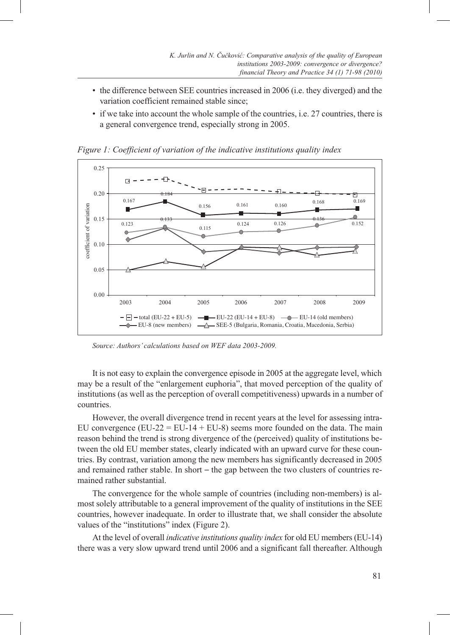- the difference between SEE countries increased in 2006 (i.e. they diverged) and the variation coefficient remained stable since;
- if we take into account the whole sample of the countries, i.e. 27 countries, there is a general convergence trend, especially strong in 2005.



*Figure 1: Coefficient of variation of the indicative institutions quality index*

*Source: Authors' calculations based on WEF data 2003-2009.*

It is not easy to explain the convergence episode in 2005 at the aggregate level, which may be a result of the "enlargement euphoria", that moved perception of the quality of institutions (as well as the perception of overall competitiveness) upwards in a number of countries.

However, the overall divergence trend in recent years at the level for assessing intra-EU convergence  $(EU-22 = EU-14 + EU-8)$  seems more founded on the data. The main reason behind the trend is strong divergence of the (perceived) quality of institutions between the old EU member states, clearly indicated with an upward curve for these countries. By contrast, variation among the new members has significantly decreased in 2005 and remained rather stable. In short **–** the gap between the two clusters of countries remained rather substantial.

The convergence for the whole sample of countries (including non-members) is almost solely attributable to a general improvement of the quality of institutions in the SEE countries, however inadequate. In order to illustrate that, we shall consider the absolute values of the "institutions" index (Figure 2).

At the level of overall *indicative institutions quality index* for old EU members (EU-14) there was a very slow upward trend until 2006 and a significant fall thereafter. Although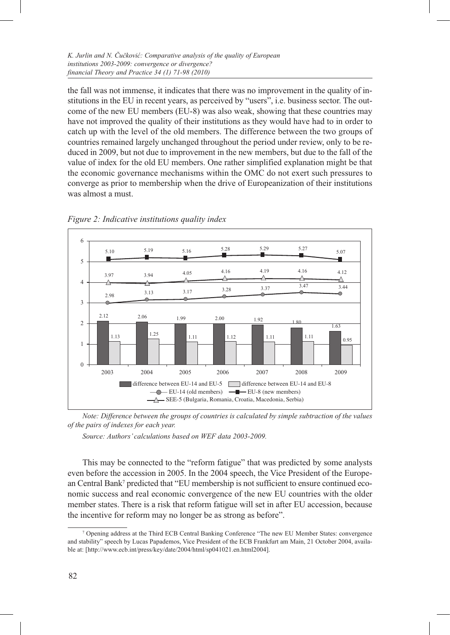#### *K. Jurlin and N. Čučković: Comparative analysis of the quality of European institutions 2003-2009: convergence or divergence? financial Theory and Practice 34 (1) 71-98 (2010)*

the fall was not immense, it indicates that there was no improvement in the quality of institutions in the EU in recent years, as perceived by "users", i.e. business sector. The outcome of the new EU members (EU-8) was also weak, showing that these countries may have not improved the quality of their institutions as they would have had to in order to catch up with the level of the old members. The difference between the two groups of countries remained largely unchanged throughout the period under review, only to be reduced in 2009, but not due to improvement in the new members, but due to the fall of the value of index for the old EU members. One rather simplified explanation might be that the economic governance mechanisms within the OMC do not exert such pressures to converge as prior to membership when the drive of Europeanization of their institutions was almost a must.





*Note: Difference between the groups of countries is calculated by simple subtraction of the values of the pairs of indexes for each year.*

*Source: Authors' calculations based on WEF data 2003-2009.*

This may be connected to the "reform fatigue" that was predicted by some analysts even before the accession in 2005. In the 2004 speech, the Vice President of the European Central Bank<sup>7</sup> predicted that "EU membership is not sufficient to ensure continued economic success and real economic convergence of the new EU countries with the older member states. There is a risk that reform fatigue will set in after EU accession, because the incentive for reform may no longer be as strong as before".

<sup>7</sup> Opening address at the Third ECB Central Banking Conference "The new EU Member States: convergence and stability" speech by Lucas Papademos, Vice President of the ECB Frankfurt am Main, 21 October 2004, available at: [http://www.ecb.int/press/key/date/2004/html/sp041021.en.html2004].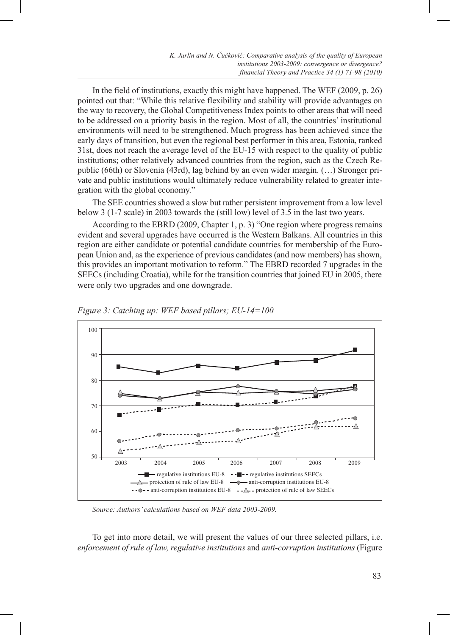In the field of institutions, exactly this might have happened. The WEF (2009, p. 26) pointed out that: "While this relative flexibility and stability will provide advantages on the way to recovery, the Global Competitiveness Index points to other areas that will need to be addressed on a priority basis in the region. Most of all, the countries' institutional environments will need to be strengthened. Much progress has been achieved since the early days of transition, but even the regional best performer in this area, Estonia, ranked 31st, does not reach the average level of the EU-15 with respect to the quality of public institutions; other relatively advanced countries from the region, such as the Czech Republic (66th) or Slovenia (43rd), lag behind by an even wider margin. (…) Stronger private and public institutions would ultimately reduce vulnerability related to greater integration with the global economy."

The SEE countries showed a slow but rather persistent improvement from a low level below 3 (1-7 scale) in 2003 towards the (still low) level of 3.5 in the last two years.

According to the EBRD (2009, Chapter 1, p. 3) "One region where progress remains evident and several upgrades have occurred is the Western Balkans. All countries in this region are either candidate or potential candidate countries for membership of the European Union and, as the experience of previous candidates (and now members) has shown, this provides an important motivation to reform." The EBRD recorded 7 upgrades in the SEECs (including Croatia), while for the transition countries that joined EU in 2005, there were only two upgrades and one downgrade.



*Figure 3: Catching up: WEF based pillars; EU-14=100*

*Source: Authors' calculations based on WEF data 2003-2009.*

To get into more detail, we will present the values of our three selected pillars, i.e. *enforcement of rule of law, regulative institutions* and *anti-corruption institutions* (Figure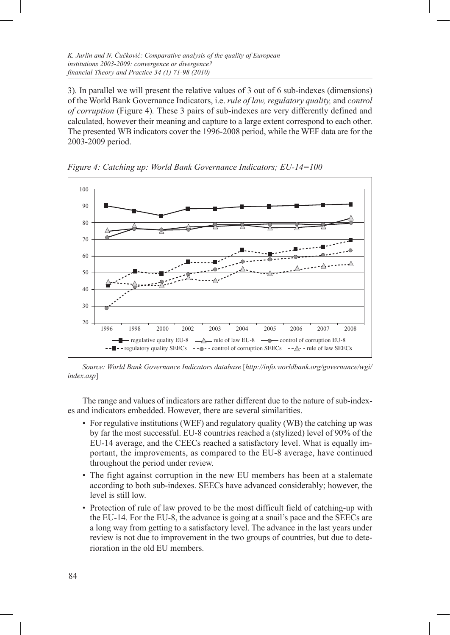3)*.* In parallel we will present the relative values of 3 out of 6 sub-indexes (dimensions) of the World Bank Governance Indicators, i.e. *rule of law, regulatory quality,* and *control of corruption* (Figure 4)*.* These 3 pairs of sub-indexes are very differently defined and calculated, however their meaning and capture to a large extent correspond to each other. The presented WB indicators cover the 1996-2008 period, while the WEF data are for the 2003-2009 period.



*Figure 4: Catching up: World Bank Governance Indicators; EU-14=100* 

*Source: World Bank Governance Indicators database* [*http://info.worldbank.org/governance/wgi/ index.asp*]

The range and values of indicators are rather different due to the nature of sub-indexes and indicators embedded. However, there are several similarities.

- For regulative institutions (WEF) and regulatory quality (WB) the catching up was by far the most successful. EU-8 countries reached a (stylized) level of 90% of the EU-14 average, and the CEECs reached a satisfactory level. What is equally important, the improvements, as compared to the EU-8 average, have continued throughout the period under review.
- The fight against corruption in the new EU members has been at a stalemate according to both sub-indexes. SEECs have advanced considerably; however, the level is still low.
- Protection of rule of law proved to be the most difficult field of catching-up with the EU-14. For the EU-8, the advance is going at a snail's pace and the SEECs are a long way from getting to a satisfactory level. The advance in the last years under review is not due to improvement in the two groups of countries, but due to deterioration in the old EU members.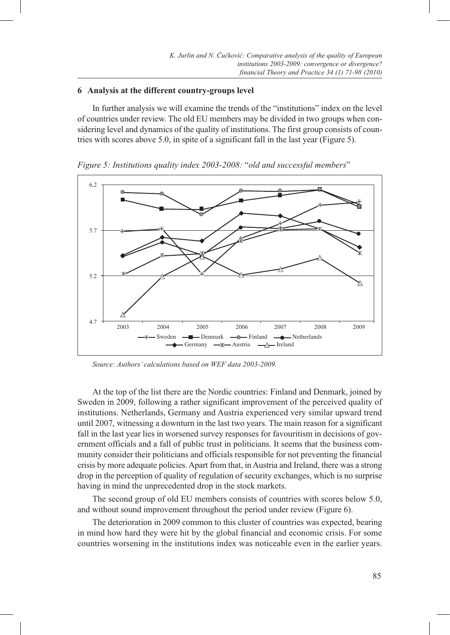#### **6 Analysis at the different country-groups level**

In further analysis we will examine the trends of the "institutions" index on the level of countries under review. The old EU members may be divided in two groups when considering level and dynamics of the quality of institutions. The first group consists of countries with scores above 5.0, in spite of a significant fall in the last year (Figure 5).



*Figure 5: Institutions quality index 2003-2008:* "*old and successful members*"

At the top of the list there are the Nordic countries: Finland and Denmark, joined by Sweden in 2009, following a rather significant improvement of the perceived quality of institutions. Netherlands, Germany and Austria experienced very similar upward trend until 2007, witnessing a downturn in the last two years. The main reason for a significant fall in the last year lies in worsened survey responses for favouritism in decisions of government officials and a fall of public trust in politicians. It seems that the business community consider their politicians and officials responsible for not preventing the financial crisis by more adequate policies. Apart from that, in Austria and Ireland, there was a strong drop in the perception of quality of regulation of security exchanges, which is no surprise having in mind the unprecedented drop in the stock markets.

The second group of old EU members consists of countries with scores below 5.0, and without sound improvement throughout the period under review (Figure 6).

The deterioration in 2009 common to this cluster of countries was expected, bearing in mind how hard they were hit by the global financial and economic crisis. For some countries worsening in the institutions index was noticeable even in the earlier years.

*Source: Authors' calculations based on WEF data 2003-2009.*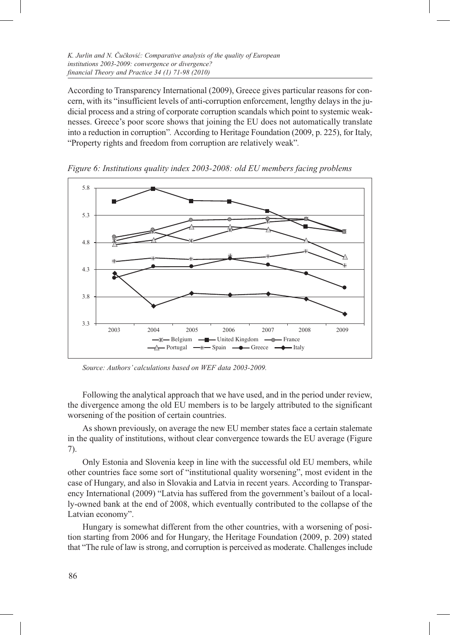According to Transparency International (2009), Greece gives particular reasons for concern, with its "insufficient levels of anti-corruption enforcement, lengthy delays in the judicial process and a string of corporate corruption scandals which point to systemic weaknesses. Greece's poor score shows that joining the EU does not automatically translate into a reduction in corruption"*.* According to Heritage Foundation (2009, p. 225), for Italy, "Property rights and freedom from corruption are relatively weak"*.*



*Figure 6: Institutions quality index 2003-2008: old EU members facing problems*

*Source: Authors' calculations based on WEF data 2003-2009.*

Following the analytical approach that we have used, and in the period under review, the divergence among the old EU members is to be largely attributed to the significant worsening of the position of certain countries.

As shown previously, on average the new EU member states face a certain stalemate in the quality of institutions, without clear convergence towards the EU average (Figure 7).

Only Estonia and Slovenia keep in line with the successful old EU members, while other countries face some sort of "institutional quality worsening", most evident in the case of Hungary, and also in Slovakia and Latvia in recent years. According to Transparency International (2009) "Latvia has suffered from the government's bailout of a locally-owned bank at the end of 2008, which eventually contributed to the collapse of the Latvian economy".

Hungary is somewhat different from the other countries, with a worsening of position starting from 2006 and for Hungary, the Heritage Foundation (2009, p. 209) stated that "The rule of law is strong, and corruption is perceived as moderate. Challenges include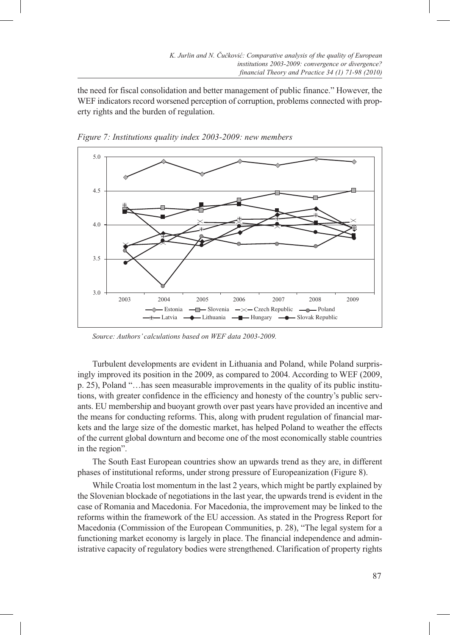the need for fiscal consolidation and better management of public finance." However, the WEF indicators record worsened perception of corruption, problems connected with property rights and the burden of regulation.



*Figure 7: Institutions quality index 2003-2009: new members*

*Source: Authors' calculations based on WEF data 2003-2009.*

Turbulent developments are evident in Lithuania and Poland, while Poland surprisingly improved its position in the 2009, as compared to 2004. According to WEF (2009, p. 25), Poland "…has seen measurable improvements in the quality of its public institutions, with greater confidence in the efficiency and honesty of the country's public servants. EU membership and buoyant growth over past years have provided an incentive and the means for conducting reforms. This, along with prudent regulation of financial markets and the large size of the domestic market, has helped Poland to weather the effects of the current global downturn and become one of the most economically stable countries in the region".

The South East European countries show an upwards trend as they are, in different phases of institutional reforms, under strong pressure of Europeanization (Figure 8).

While Croatia lost momentum in the last 2 years, which might be partly explained by the Slovenian blockade of negotiations in the last year, the upwards trend is evident in the case of Romania and Macedonia. For Macedonia, the improvement may be linked to the reforms within the framework of the EU accession. As stated in the Progress Report for Macedonia (Commission of the European Communities, p. 28), "The legal system for a functioning market economy is largely in place. The financial independence and administrative capacity of regulatory bodies were strengthened. Clarification of property rights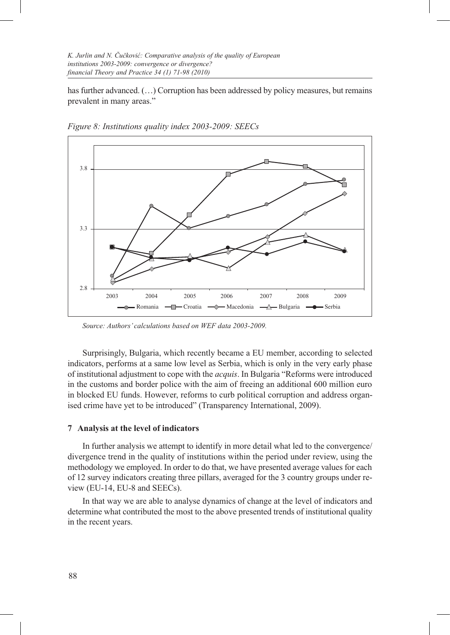has further advanced.  $(\ldots)$  Corruption has been addressed by policy measures, but remains prevalent in many areas."



*Figure 8: Institutions quality index 2003-2009: SEECs*

*Source: Authors' calculations based on WEF data 2003-2009.*

Surprisingly, Bulgaria, which recently became a EU member, according to selected indicators, performs at a same low level as Serbia, which is only in the very early phase of institutional adjustment to cope with the *acquis*. In Bulgaria "Reforms were introduced in the customs and border police with the aim of freeing an additional 600 million euro in blocked EU funds. However, reforms to curb political corruption and address organised crime have yet to be introduced" (Transparency International, 2009).

#### **7 Analysis at the level of indicators**

In further analysis we attempt to identify in more detail what led to the convergence/ divergence trend in the quality of institutions within the period under review, using the methodology we employed. In order to do that, we have presented average values for each of 12 survey indicators creating three pillars, averaged for the 3 country groups under review (EU-14, EU-8 and SEECs).

In that way we are able to analyse dynamics of change at the level of indicators and determine what contributed the most to the above presented trends of institutional quality in the recent years.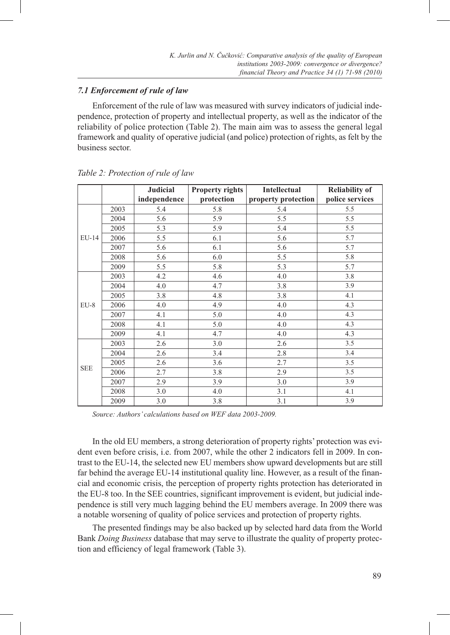# *7.1 Enforcement of rule of law*

Enforcement of the rule of law was measured with survey indicators of judicial independence, protection of property and intellectual property, as well as the indicator of the reliability of police protection (Table 2). The main aim was to assess the general legal framework and quality of operative judicial (and police) protection of rights, as felt by the business sector.

|            |      | <b>Judicial</b> | <b>Property rights</b> | <b>Intellectual</b> | <b>Reliability of</b> |
|------------|------|-----------------|------------------------|---------------------|-----------------------|
|            |      | independence    | protection             | property protection | police services       |
|            | 2003 | 5.4             | 5.8                    | 5.4                 | 5.5                   |
|            | 2004 | 5.6             | 5.9                    | 5.5                 | 5.5                   |
|            | 2005 | 5.3             | 5.9                    | 5.4                 | 5.5                   |
| $EU-14$    | 2006 | 5.5             | 6.1                    | 5.6                 | 5.7                   |
|            | 2007 | 5.6             | 6.1                    | 5.6                 | 5.7                   |
|            | 2008 | 5.6             | 6.0                    | 5.5                 | 5.8                   |
|            | 2009 | 5.5             | 5.8                    | 5.3                 | 5.7                   |
|            | 2003 | 4.2             | 4.6                    | 4.0                 | 3.8                   |
|            | 2004 | 4.0             | 4.7                    | 3.8                 | 3.9                   |
|            | 2005 | 3.8             | 4.8                    | 3.8                 | 4.1                   |
| $EU-8$     | 2006 | 4.0             | 4.9                    | 4.0                 | 4.3                   |
|            | 2007 | 4.1             | 5.0                    | 4.0                 | 4.3                   |
|            | 2008 | 4.1             | 5.0                    | 4.0                 | 4.3                   |
|            | 2009 | 4.1             | 4.7                    | 4.0                 | 4.3                   |
|            | 2003 | 2.6             | 3.0                    | 2.6                 | 3.5                   |
|            | 2004 | 2.6             | 3.4                    | 2.8                 | 3.4                   |
| <b>SEE</b> | 2005 | 2.6             | 3.6                    | 2.7                 | 3.5                   |
|            | 2006 | 2.7             | 3.8                    | 2.9                 | 3.5                   |
|            | 2007 | 2.9             | 3.9                    | 3.0                 | 3.9                   |
|            | 2008 | 3.0             | 4.0                    | 3.1                 | 4.1                   |
|            | 2009 | 3.0             | 3.8                    | 3.1                 | 3.9                   |

*Table 2: Protection of rule of law* 

*Source: Authors' calculations based on WEF data 2003-2009.*

In the old EU members, a strong deterioration of property rights' protection was evident even before crisis, i.e. from 2007, while the other 2 indicators fell in 2009. In contrast to the EU-14, the selected new EU members show upward developments but are still far behind the average EU-14 institutional quality line. However, as a result of the financial and economic crisis, the perception of property rights protection has deteriorated in the EU-8 too. In the SEE countries, significant improvement is evident, but judicial independence is still very much lagging behind the EU members average. In 2009 there was a notable worsening of quality of police services and protection of property rights.

The presented findings may be also backed up by selected hard data from the World Bank *Doing Business* database that may serve to illustrate the quality of property protection and efficiency of legal framework (Table 3).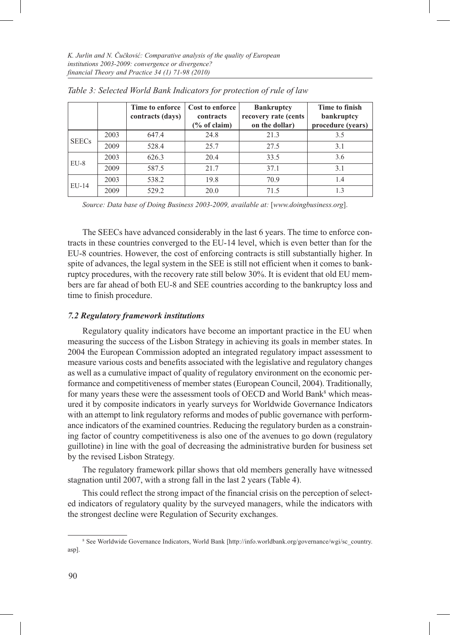|              |      | Time to enforce<br>contracts (days) | Cost to enforce<br>contracts<br>$\frac{6}{6}$ of claim) | <b>Bankruptcy</b><br>recovery rate (cents<br>on the dollar) | Time to finish<br>bankruptcy |
|--------------|------|-------------------------------------|---------------------------------------------------------|-------------------------------------------------------------|------------------------------|
|              |      |                                     |                                                         |                                                             | procedure (years)            |
|              | 2003 | 647.4                               | 24.8                                                    | 21.3                                                        | 3.5                          |
| <b>SEECs</b> | 2009 | 528.4                               | 25.7                                                    | 27.5                                                        | 3.1                          |
| $EU-8$       | 2003 | 626.3                               | 20.4                                                    | 33.5                                                        | 3.6                          |
|              | 2009 | 587.5                               | 21.7                                                    | 37.1                                                        | 3.1                          |
| EU-14        | 2003 | 538.2                               | 19.8                                                    | 70.9                                                        | 1.4                          |
|              | 2009 | 529.2                               | 20.0                                                    | 71.5                                                        | 1.3                          |

*Table 3: Selected World Bank Indicators for protection of rule of law*

*Source: Data base of Doing Business 2003-2009, available at:* [*www.doingbusiness.org*].

The SEECs have advanced considerably in the last 6 years. The time to enforce contracts in these countries converged to the EU-14 level, which is even better than for the EU-8 countries. However, the cost of enforcing contracts is still substantially higher. In spite of advances, the legal system in the SEE is still not efficient when it comes to bankruptcy procedures, with the recovery rate still below 30%. It is evident that old EU members are far ahead of both EU-8 and SEE countries according to the bankruptcy loss and time to finish procedure.

#### *7.2 Regulatory framework institutions*

Regulatory quality indicators have become an important practice in the EU when measuring the success of the Lisbon Strategy in achieving its goals in member states. In 2004 the European Commission adopted an integrated regulatory impact assessment to measure various costs and benefits associated with the legislative and regulatory changes as well as a cumulative impact of quality of regulatory environment on the economic performance and competitiveness of member states (European Council, 2004). Traditionally, for many years these were the assessment tools of OECD and World Bank<sup>8</sup> which measured it by composite indicators in yearly surveys for Worldwide Governance Indicators with an attempt to link regulatory reforms and modes of public governance with performance indicators of the examined countries. Reducing the regulatory burden as a constraining factor of country competitiveness is also one of the avenues to go down (regulatory guillotine) in line with the goal of decreasing the administrative burden for business set by the revised Lisbon Strategy.

The regulatory framework pillar shows that old members generally have witnessed stagnation until 2007, with a strong fall in the last 2 years (Table 4).

This could reflect the strong impact of the financial crisis on the perception of selected indicators of regulatory quality by the surveyed managers, while the indicators with the strongest decline were Regulation of Security exchanges.

<sup>8</sup> See Worldwide Governance Indicators, World Bank [http://info.worldbank.org/governance/wgi/sc\_country. asp].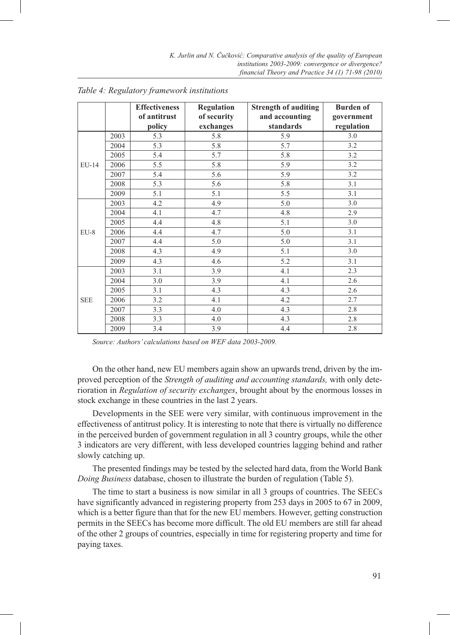|            |      | <b>Effectiveness</b><br>of antitrust | Regulation<br>of security | <b>Strength of auditing</b><br>and accounting | <b>Burden of</b><br>government |
|------------|------|--------------------------------------|---------------------------|-----------------------------------------------|--------------------------------|
|            |      | policy                               | exchanges                 | standards                                     | regulation                     |
|            | 2003 | 5.3                                  | 5.8                       | 5.9                                           | 3.0                            |
|            | 2004 | 5.3                                  | 5.8                       | 5.7                                           | 3.2                            |
|            | 2005 | 5.4                                  | 5.7                       | 5.8                                           | 3.2                            |
| EU-14      | 2006 | 5.5                                  | 5.8                       | 5.9                                           | 3.2                            |
|            | 2007 | 5.4                                  | 5.6                       | 5.9                                           | 3.2                            |
|            | 2008 | 5.3                                  | 5.6                       | 5.8                                           | 3.1                            |
|            | 2009 | 5.1                                  | 5.1                       | 5.5                                           | 3.1                            |
|            | 2003 | 4.2                                  | 4.9                       | 5.0                                           | 3.0                            |
|            | 2004 | 4.1                                  | 4.7                       | 4.8                                           | 2.9                            |
| EU-8       | 2005 | 4.4                                  | 4.8                       | 5.1                                           | 3.0                            |
|            | 2006 | 4.4                                  | 4.7                       | 5.0                                           | 3.1                            |
|            | 2007 | 4.4                                  | 5.0                       | 5.0                                           | 3.1                            |
|            | 2008 | 4.3                                  | 4.9                       | 5.1                                           | 3.0                            |
|            | 2009 | 4.3                                  | 4.6                       | 5.2                                           | 3.1                            |
|            | 2003 | 3.1                                  | 3.9                       | 4.1                                           | 2.3                            |
|            | 2004 | 3.0                                  | 3.9                       | 4.1                                           | 2.6                            |
|            | 2005 | 3.1                                  | 4.3                       | 4.3                                           | 2.6                            |
| <b>SEE</b> | 2006 | 3.2                                  | 4.1                       | 4.2                                           | 2.7                            |
|            | 2007 | 3.3                                  | 4.0                       | 4.3                                           | 2.8                            |
|            | 2008 | 3.3                                  | 4.0                       | 4.3                                           | 2.8                            |
|            | 2009 | 3.4                                  | 3.9                       | 4.4                                           | 2.8                            |

*Table 4: Regulatory framework institutions*

*Source: Authors' calculations based on WEF data 2003-2009.*

On the other hand, new EU members again show an upwards trend, driven by the improved perception of the *Strength of auditing and accounting standards,* with only deterioration in *Regulation of security exchanges*, brought about by the enormous losses in stock exchange in these countries in the last 2 years.

Developments in the SEE were very similar, with continuous improvement in the effectiveness of antitrust policy. It is interesting to note that there is virtually no difference in the perceived burden of government regulation in all 3 country groups, while the other 3 indicators are very different, with less developed countries lagging behind and rather slowly catching up.

The presented findings may be tested by the selected hard data, from the World Bank *Doing Business* database, chosen to illustrate the burden of regulation (Table 5).

The time to start a business is now similar in all 3 groups of countries. The SEECs have significantly advanced in registering property from 253 days in 2005 to 67 in 2009, which is a better figure than that for the new EU members. However, getting construction permits in the SEECs has become more difficult. The old EU members are still far ahead of the other 2 groups of countries, especially in time for registering property and time for paying taxes.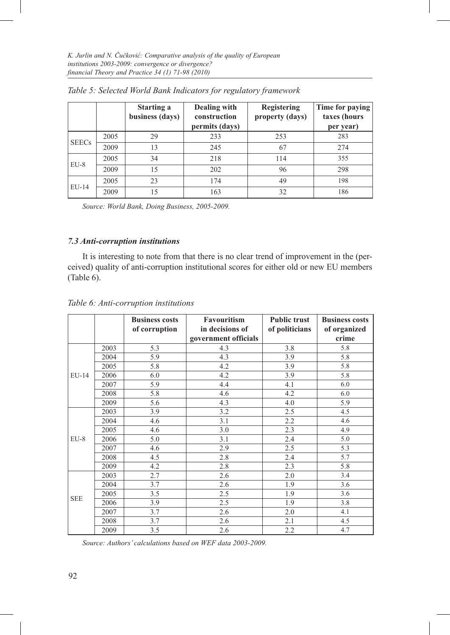|              |      | <b>Starting a</b><br>business (days) | Dealing with<br>construction<br>permits (days) | Registering<br>property (days) | Time for paying<br>taxes (hours<br>per year) |
|--------------|------|--------------------------------------|------------------------------------------------|--------------------------------|----------------------------------------------|
|              | 2005 | 29                                   | 233                                            | 253                            | 283                                          |
| <b>SEECs</b> | 2009 | 13                                   | 245                                            | 67                             | 274                                          |
|              | 2005 | 34                                   | 218                                            | 114                            | 355                                          |
| $EU-8$       | 2009 | 15                                   | 202                                            | 96                             | 298                                          |
| EU-14        | 2005 | 23                                   | 174                                            | 49                             | 198                                          |
|              | 2009 | 15                                   | 163                                            | 32                             | 186                                          |

*Table 5: Selected World Bank Indicators for regulatory framework*

*Source: World Bank, Doing Business, 2005-2009.* 

# *7.3 Anti-corruption institutions*

It is interesting to note from that there is no clear trend of improvement in the (perceived) quality of anti-corruption institutional scores for either old or new EU members (Table 6).

# *Table 6: Anti-corruption institutions*

|            |      | <b>Business costs</b> | <b>Favouritism</b>   | <b>Public trust</b> | <b>Business costs</b> |
|------------|------|-----------------------|----------------------|---------------------|-----------------------|
|            |      | of corruption         | in decisions of      | of politicians      | of organized          |
|            |      |                       | government officials |                     | crime                 |
|            | 2003 | 5.3                   | 4.3                  | 3.8                 | 5.8                   |
|            | 2004 | 5.9                   | 4.3                  | 3.9                 | 5.8                   |
|            | 2005 | 5.8                   | 4.2                  | 3.9                 | 5.8                   |
| $EU-14$    | 2006 | 6.0                   | 4.2                  | 3.9                 | 5.8                   |
|            | 2007 | 5.9                   | 4.4                  | 4.1                 | 6.0                   |
|            | 2008 | 5.8                   | 4.6                  | 4.2                 | 6.0                   |
|            | 2009 | 5.6                   | 4.3                  | 4.0                 | 5.9                   |
|            | 2003 | 3.9                   | 3.2                  | 2.5                 | 4.5                   |
|            | 2004 | 4.6                   | 3.1                  | 2.2                 | 4.6                   |
|            | 2005 | 4.6                   | 3.0                  | 2.3                 | 4.9                   |
| $EU-8$     | 2006 | 5.0                   | 3.1                  | 2.4                 | 5.0                   |
|            | 2007 | 4.6                   | 2.9                  | 2.5                 | 5.3                   |
|            | 2008 | 4.5                   | 2.8                  | 2.4                 | 5.7                   |
|            | 2009 | 4.2                   | 2.8                  | 2.3                 | 5.8                   |
|            | 2003 | 2.7                   | 2.6                  | 2.0                 | 3.4                   |
| <b>SEE</b> | 2004 | 3.7                   | 2.6                  | 1.9                 | 3.6                   |
|            | 2005 | 3.5                   | 2.5                  | 1.9                 | 3.6                   |
|            | 2006 | 3.9                   | 2.5                  | 1.9                 | 3.8                   |
|            | 2007 | 3.7                   | 2.6                  | 2.0                 | 4.1                   |
|            | 2008 | 3.7                   | 2.6                  | 2.1                 | 4.5                   |
|            | 2009 | 3.5                   | 2.6                  | 2.2                 | 4.7                   |

*Source: Authors' calculations based on WEF data 2003-2009.*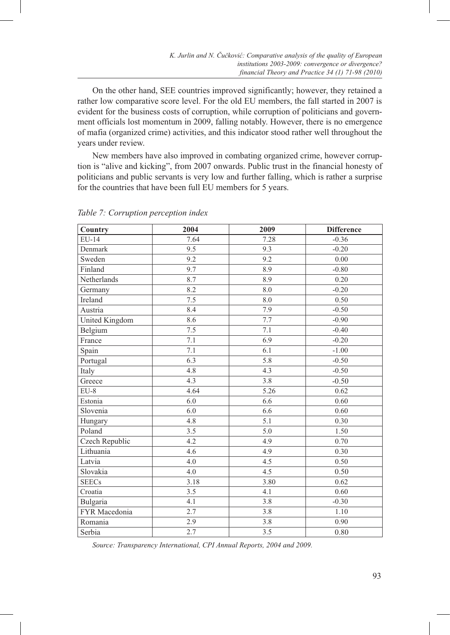On the other hand, SEE countries improved significantly; however, they retained a rather low comparative score level. For the old EU members, the fall started in 2007 is evident for the business costs of corruption, while corruption of politicians and government officials lost momentum in 2009, falling notably. However, there is no emergence of mafia (organized crime) activities, and this indicator stood rather well throughout the years under review.

New members have also improved in combating organized crime, however corruption is "alive and kicking", from 2007 onwards. Public trust in the financial honesty of politicians and public servants is very low and further falling, which is rather a surprise for the countries that have been full EU members for 5 years.

| Country        | 2004 | 2009 | <b>Difference</b> |
|----------------|------|------|-------------------|
| EU-14          | 7.64 | 7.28 | $-0.36$           |
| Denmark        | 9.5  | 9.3  | $-0.20$           |
| Sweden         | 9.2  | 9.2  | 0.00              |
| Finland        | 9.7  | 8.9  | $-0.80$           |
| Netherlands    | 8.7  | 8.9  | 0.20              |
| Germany        | 8.2  | 8.0  | $-0.20$           |
| Ireland        | 7.5  | 8.0  | 0.50              |
| Austria        | 8.4  | 7.9  | $-0.50$           |
| United Kingdom | 8.6  | 7.7  | $-0.90$           |
| Belgium        | 7.5  | 7.1  | $-0.40$           |
| France         | 7.1  | 6.9  | $-0.20$           |
| Spain          | 7.1  | 6.1  | $-1.00$           |
| Portugal       | 6.3  | 5.8  | $-0.50$           |
| Italy          | 4.8  | 4.3  | $-0.50$           |
| Greece         | 4.3  | 3.8  | $-0.50$           |
| $EU-8$         | 4.64 | 5.26 | 0.62              |
| Estonia        | 6.0  | 6.6  | 0.60              |
| Slovenia       | 6.0  | 6.6  | 0.60              |
| Hungary        | 4.8  | 5.1  | 0.30              |
| Poland         | 3.5  | 5.0  | 1.50              |
| Czech Republic | 4.2  | 4.9  | 0.70              |
| Lithuania      | 4.6  | 4.9  | 0.30              |
| Latvia         | 4.0  | 4.5  | 0.50              |
| Slovakia       | 4.0  | 4.5  | 0.50              |
| <b>SEECs</b>   | 3.18 | 3.80 | 0.62              |
| Croatia        | 3.5  | 4.1  | 0.60              |
| Bulgaria       | 4.1  | 3.8  | $-0.30$           |
| FYR Macedonia  | 2.7  | 3.8  | 1.10              |
| Romania        | 2.9  | 3.8  | $0.90\,$          |
| Serbia         | 2.7  | 3.5  | 0.80              |

*Table 7: Corruption perception index* 

*Source: Transparency International, CPI Annual Reports, 2004 and 2009.*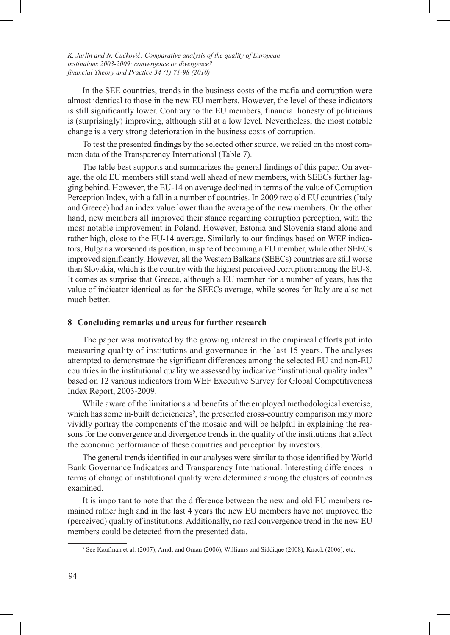In the SEE countries, trends in the business costs of the mafia and corruption were almost identical to those in the new EU members. However, the level of these indicators is still significantly lower. Contrary to the EU members, financial honesty of politicians is (surprisingly) improving, although still at a low level. Nevertheless, the most notable change is a very strong deterioration in the business costs of corruption.

To test the presented findings by the selected other source, we relied on the most common data of the Transparency International (Table 7).

The table best supports and summarizes the general findings of this paper. On average, the old EU members still stand well ahead of new members, with SEECs further lagging behind. However, the EU-14 on average declined in terms of the value of Corruption Perception Index, with a fall in a number of countries. In 2009 two old EU countries (Italy and Greece) had an index value lower than the average of the new members. On the other hand, new members all improved their stance regarding corruption perception, with the most notable improvement in Poland. However, Estonia and Slovenia stand alone and rather high, close to the EU-14 average. Similarly to our findings based on WEF indicators, Bulgaria worsened its position, in spite of becoming a EU member, while other SEECs improved significantly. However, all the Western Balkans (SEECs) countries are still worse than Slovakia, which is the country with the highest perceived corruption among the EU-8. It comes as surprise that Greece, although a EU member for a number of years, has the value of indicator identical as for the SEECs average, while scores for Italy are also not much better.

#### **8 Concluding remarks and areas for further research**

The paper was motivated by the growing interest in the empirical efforts put into measuring quality of institutions and governance in the last 15 years. The analyses attempted to demonstrate the significant differences among the selected EU and non-EU countries in the institutional quality we assessed by indicative "institutional quality index" based on 12 various indicators from WEF Executive Survey for Global Competitiveness Index Report, 2003-2009.

While aware of the limitations and benefits of the employed methodological exercise, which has some in-built deficiencies<sup>9</sup>, the presented cross-country comparison may more vividly portray the components of the mosaic and will be helpful in explaining the reasons for the convergence and divergence trends in the quality of the institutions that affect the economic performance of these countries and perception by investors.

The general trends identified in our analyses were similar to those identified by World Bank Governance Indicators and Transparency International. Interesting differences in terms of change of institutional quality were determined among the clusters of countries examined.

It is important to note that the difference between the new and old EU members remained rather high and in the last 4 years the new EU members have not improved the (perceived) quality of institutions. Additionally, no real convergence trend in the new EU members could be detected from the presented data.

<sup>9</sup> See Kaufman et al. (2007), Arndt and Oman (2006), Williams and Siddique (2008), Knack (2006), etc.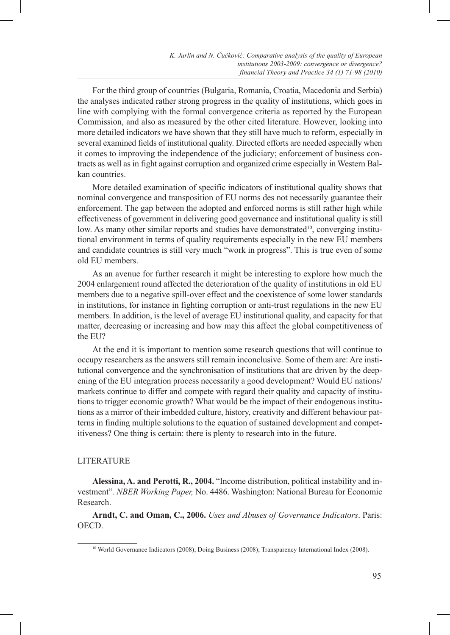For the third group of countries (Bulgaria, Romania, Croatia, Macedonia and Serbia) the analyses indicated rather strong progress in the quality of institutions, which goes in line with complying with the formal convergence criteria as reported by the European Commission, and also as measured by the other cited literature. However, looking into more detailed indicators we have shown that they still have much to reform, especially in several examined fields of institutional quality. Directed efforts are needed especially when it comes to improving the independence of the judiciary; enforcement of business contracts as well as in fight against corruption and organized crime especially in Western Balkan countries.

More detailed examination of specific indicators of institutional quality shows that nominal convergence and transposition of EU norms des not necessarily guarantee their enforcement. The gap between the adopted and enforced norms is still rather high while effectiveness of government in delivering good governance and institutional quality is still low. As many other similar reports and studies have demonstrated<sup>10</sup>, converging institutional environment in terms of quality requirements especially in the new EU members and candidate countries is still very much "work in progress". This is true even of some old EU members.

As an avenue for further research it might be interesting to explore how much the 2004 enlargement round affected the deterioration of the quality of institutions in old EU members due to a negative spill-over effect and the coexistence of some lower standards in institutions, for instance in fighting corruption or anti-trust regulations in the new EU members. In addition, is the level of average EU institutional quality, and capacity for that matter, decreasing or increasing and how may this affect the global competitiveness of the EU?

At the end it is important to mention some research questions that will continue to occupy researchers as the answers still remain inconclusive. Some of them are: Are institutional convergence and the synchronisation of institutions that are driven by the deepening of the EU integration process necessarily a good development? Would EU nations/ markets continue to differ and compete with regard their quality and capacity of institutions to trigger economic growth? What would be the impact of their endogenous institutions as a mirror of their imbedded culture, history, creativity and different behaviour patterns in finding multiple solutions to the equation of sustained development and competitiveness? One thing is certain: there is plenty to research into in the future.

#### LITERATURE

**Alessina, A. and Perotti, R., 2004.** "Income distribution, political instability and investment"*. NBER Working Paper,* No. 4486. Washington: National Bureau for Economic Research.

**Arndt, C. and Oman, C., 2006.** *Uses and Abuses of Governance Indicators*. Paris: OECD.

<sup>10</sup> World Governance Indicators (2008); Doing Business (2008); Transparency International Index (2008).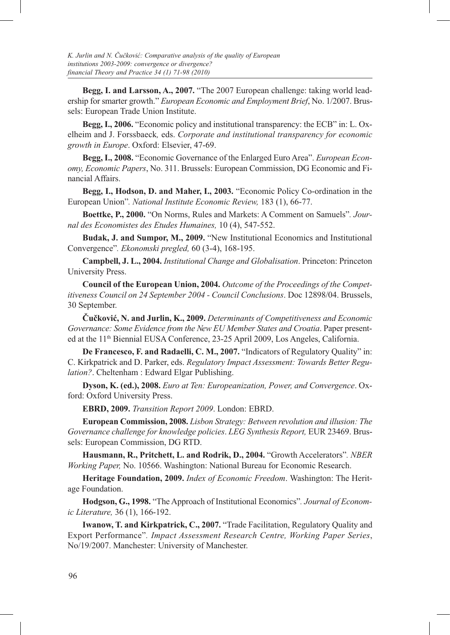**Begg, I. and Larsson, A., 2007.** "The 2007 European challenge: taking world leadership for smarter growth." *European Economic and Employment Brief*, No. 1/2007. Brussels: European Trade Union Institute.

**Begg, I., 2006.** "Economic policy and institutional transparency: the ECB" in: L. Oxelheim and J. Forssbaeck*,* eds. *Corporate and institutional transparency for economic growth in Europe*. Oxford: Elsevier, 47-69.

Begg, I., 2008. "Economic Governance of the Enlarged Euro Area". *European Economy, Economic Papers*, No. 311. Brussels: European Commission, DG Economic and Financial Affairs.

**Begg, I., Hodson, D. and Maher, I., 2003.** "Economic Policy Co-ordination in the European Union"*. National Institute Economic Review,* 183 (1), 66-77.

**Boettke, P., 2000.** "On Norms, Rules and Markets: A Comment on Samuels"*. Journal des Economistes des Etudes Humaines,* 10 (4), 547-552.

**Budak, J. and Sumpor, M., 2009.** "New Institutional Economics and Institutional Convergence"*. Ekonomski pregled,* 60 (3-4), 168-195.

**Campbell, J. L., 2004.** *Institutional Change and Globalisation*. Princeton: Princeton University Press.

**Council of the European Union, 2004.** *Outcome of the Proceedings of the Competitiveness Council on 24 September 2004 - Council Conclusions*. Doc 12898/04. Brussels, 30 September.

**Čučković, N. and Jurlin, K., 2009.** *Determinants of Competitiveness and Economic Governance: Some Evidence from the New EU Member States and Croatia*. Paper presented at the 11<sup>th</sup> Biennial EUSA Conference, 23-25 April 2009, Los Angeles, California.

**De Francesco, F. and Radaelli, C. M., 2007.** "Indicators of Regulatory Quality" in: C. Kirkpatrick and D. Parker, eds. *Regulatory Impact Assessment: Towards Better Regulation?*. Cheltenham : Edward Elgar Publishing.

**Dyson, K. (ed.), 2008.** *Euro at Ten: Europeanization, Power, and Convergence*. Oxford: Oxford University Press.

**EBRD, 2009.** *Transition Report 2009*. London: EBRD.

**European Commission, 2008.** *Lisbon Strategy: Between revolution and illusion: The Governance challenge for knowledge policies*. *LEG Synthesis Report,* EUR 23469. Brussels: European Commission, DG RTD.

**Hausmann, R., Pritchett, L. and Rodrik, D., 2004.** "Growth Accelerators"*. NBER Working Paper,* No. 10566. Washington: National Bureau for Economic Research.

**Heritage Foundation, 2009.** *Index of Economic Freedom*. Washington: The Heritage Foundation.

**Hodgson, G., 1998.** "The Approach of Institutional Economics"*. Journal of Economic Literature,* 36 (1), 166-192.

**Iwanow, T. and Kirkpatrick, C., 2007.** "Trade Facilitation, Regulatory Quality and Export Performance"*. Impact Assessment Research Centre, Working Paper Series*, No/19/2007. Manchester: University of Manchester.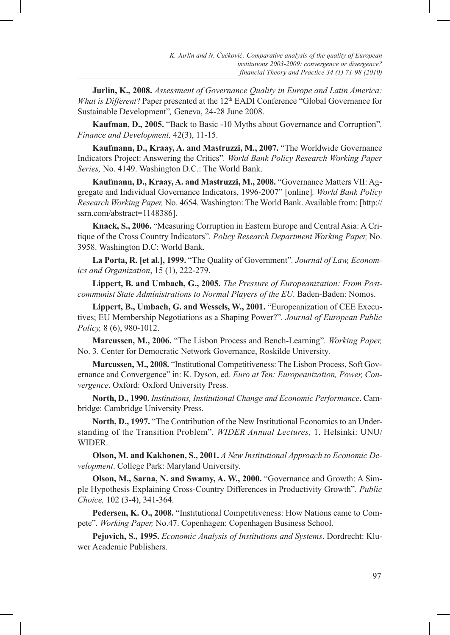**Jurlin, K., 2008.** *Assessment of Governance Quality in Europe and Latin America: What is Different*? Paper presented at the 12<sup>th</sup> EADI Conference "Global Governance for Sustainable Development"*,* Geneva, 24-28 June 2008.

**Kaufman, D., 2005.** "Back to Basic -10 Myths about Governance and Corruption"*. Finance and Development,* 42(3), 11-15.

**Kaufmann, D., Kraay, A. and Mastruzzi, M., 2007.** "The Worldwide Governance Indicators Project: Answering the Critics"*. World Bank Policy Research Working Paper Series,* No. 4149. Washington D.C.: The World Bank.

**Kaufmann, D., Kraay, A. and Mastruzzi, M., 2008.** "Governance Matters VII: Aggregate and Individual Governance Indicators, 1996-2007" [online]*. World Bank Policy Research Working Paper,* No. 4654. Washington: The World Bank. Available from: [http:// ssrn.com/abstract=1148386].

**Knack, S., 2006.** "Measuring Corruption in Eastern Europe and Central Asia: A Critique of the Cross Country Indicators"*. Policy Research Department Working Paper,* No. 3958. Washington D.C: World Bank.

**La Porta, R. [et al.], 1999.** "The Quality of Government"*. Journal of Law, Economics and Organization*, 15 (1), 222-279.

**Lippert, B. and Umbach, G., 2005.** *The Pressure of Europeanization: From Postcommunist State Administrations to Normal Players of the EU*. Baden-Baden: Nomos.

**Lippert, B., Umbach, G. and Wessels, W., 2001.** "Europeanization of CEE Executives; EU Membership Negotiations as a Shaping Power?"*. Journal of European Public Policy,* 8 (6), 980-1012.

**Marcussen, M., 2006.** "The Lisbon Process and Bench-Learning"*. Working Paper,* No. 3. Center for Democratic Network Governance, Roskilde University.

**Marcussen, M., 2008.** "Institutional Competitiveness: The Lisbon Process, Soft Governance and Convergence" in: K. Dyson, ed. *Euro at Ten: Europeanization, Power, Convergence*. Oxford: Oxford University Press.

**North, D., 1990.** *Institutions, Institutional Change and Economic Performance*. Cambridge: Cambridge University Press.

**North, D., 1997.** "The Contribution of the New Institutional Economics to an Understanding of the Transition Problem"*. WIDER Annual Lectures,* 1. Helsinki: UNU/ WIDER.

**Olson, M. and Kakhonen, S., 2001.** *A New Institutional Approach to Economic Development*. College Park: Maryland University.

**Olson, M., Sarna, N. and Swamy, A. W., 2000.** "Governance and Growth: A Simple Hypothesis Explaining Cross-Country Differences in Productivity Growth"*. Public Choice,* 102 (3-4), 341-364.

**Pedersen, K. O., 2008.** "Institutional Competitiveness: How Nations came to Compete"*. Working Paper,* No.47. Copenhagen: Copenhagen Business School.

**Pejovich, S., 1995.** *Economic Analysis of Institutions and Systems*. Dordrecht: Kluwer Academic Publishers.